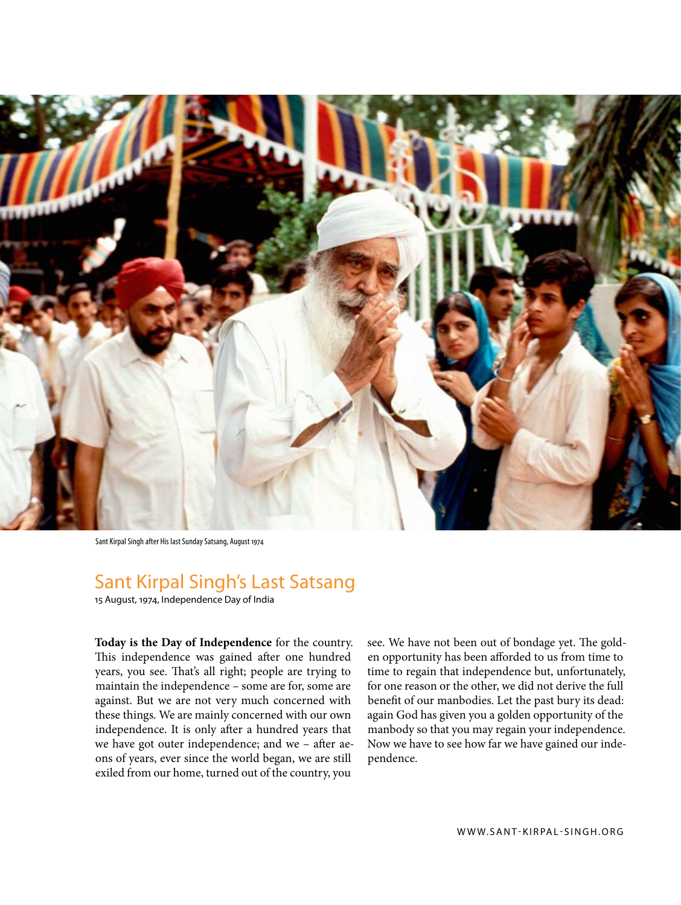

Sant Kirpal Singh after His last Sunday Satsang, August 1974

## Sant Kirpal Singh's Last Satsang

15 August, 1974, Independence Day of India

**Today is the Day of Independence** for the country. This independence was gained after one hundred years, you see. That's all right; people are trying to maintain the independence – some are for, some are against. But we are not very much concerned with these things. We are mainly concerned with our own independence. It is only after a hundred years that we have got outer independence; and we – after aeons of years, ever since the world began, we are still exiled from our home, turned out of the country, you

see. We have not been out of bondage yet. The golden opportunity has been afforded to us from time to time to regain that independence but, unfortunately, for one reason or the other, we did not derive the full benefit of our manbodies. Let the past bury its dead: again God has given you a golden opportunity of the manbody so that you may regain your independence. Now we have to see how far we have gained our independence.